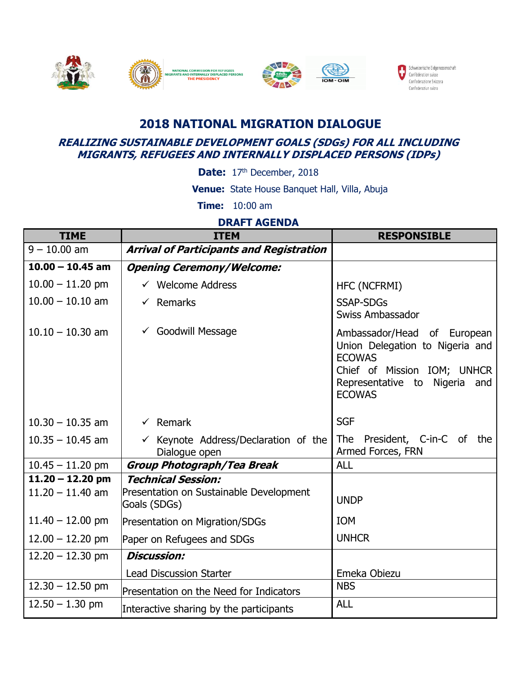

## **2018 NATIONAL MIGRATION DIALOGUE**

## **REALIZING SUSTAINABLE DEVELOPMENT GOALS (SDGs) FOR ALL INCLUDING MIGRANTS, REFUGEES AND INTERNALLY DISPLACED PERSONS (IDPs)**

Date: 17<sup>th</sup> December, 2018

 **Venue:** State House Banquet Hall, Villa, Abuja

 **Time:** 10:00 am

## **DRAFT AGENDA**

| <b>TIME</b>        | <b>ITEM</b>                                                      | <b>RESPONSIBLE</b>                                                                                                                                                  |
|--------------------|------------------------------------------------------------------|---------------------------------------------------------------------------------------------------------------------------------------------------------------------|
| $9 - 10.00$ am     | <b>Arrival of Participants and Registration</b>                  |                                                                                                                                                                     |
| $10.00 - 10.45$ am | <b>Opening Ceremony/Welcome:</b>                                 |                                                                                                                                                                     |
| $10.00 - 11.20$ pm | $\checkmark$ Welcome Address                                     | HFC (NCFRMI)                                                                                                                                                        |
| $10.00 - 10.10$ am | $\checkmark$ Remarks                                             | <b>SSAP-SDGs</b><br>Swiss Ambassador                                                                                                                                |
| $10.10 - 10.30$ am | $\checkmark$ Goodwill Message                                    | Ambassador/Head of European<br>Union Delegation to Nigeria and<br><b>ECOWAS</b><br>Chief of Mission IOM; UNHCR<br>Representative to Nigeria<br>and<br><b>ECOWAS</b> |
| $10.30 - 10.35$ am | $\checkmark$ Remark                                              | <b>SGF</b>                                                                                                                                                          |
| $10.35 - 10.45$ am | $\checkmark$ Keynote Address/Declaration of the<br>Dialogue open | The President, C-in-C of the<br>Armed Forces, FRN                                                                                                                   |
| $10.45 - 11.20$ pm | <b>Group Photograph/Tea Break</b>                                | <b>ALL</b>                                                                                                                                                          |
| $11.20 - 12.20$ pm | <b>Technical Session:</b>                                        |                                                                                                                                                                     |
| $11.20 - 11.40$ am | Presentation on Sustainable Development<br>Goals (SDGs)          | <b>UNDP</b>                                                                                                                                                         |
| $11.40 - 12.00$ pm | Presentation on Migration/SDGs                                   | <b>IOM</b>                                                                                                                                                          |
| $12.00 - 12.20$ pm | Paper on Refugees and SDGs                                       | <b>UNHCR</b>                                                                                                                                                        |
| $12.20 - 12.30$ pm | <b>Discussion:</b>                                               |                                                                                                                                                                     |
|                    | <b>Lead Discussion Starter</b>                                   | Emeka Obiezu                                                                                                                                                        |
| $12.30 - 12.50$ pm | Presentation on the Need for Indicators                          | <b>NBS</b>                                                                                                                                                          |
| $12.50 - 1.30$ pm  | Interactive sharing by the participants                          | <b>ALL</b>                                                                                                                                                          |